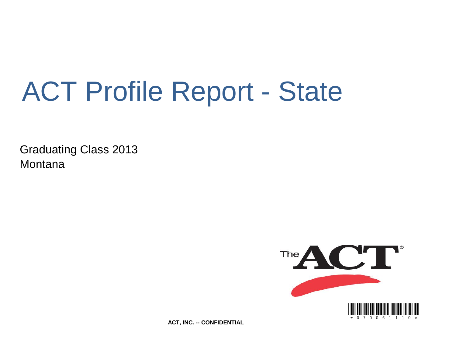# ACT Profile Report - State

Graduating Class 2013 **Montana** 



**ACT, INC. -- CONFIDENTIAL**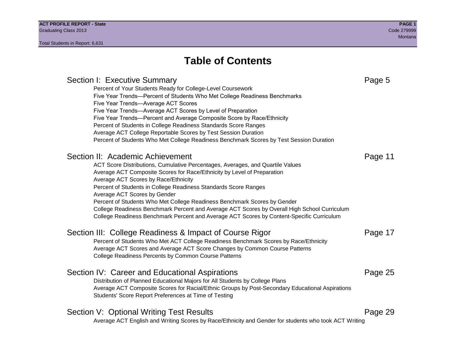# **Table of Contents**

# Section I: Executive Summary **Page 5** and the section I: Executive Summary Percent of Your Students Ready for College-Level Coursework Five Year Trends—Percent of Students Who Met College Readiness Benchmarks Five Year Trends—Average ACT Scores Five Year Trends—Average ACT Scores by Level of Preparation Five Year Trends—Percent and Average Composite Score by Race/Ethnicity Percent of Students in College Readiness Standards Score Ranges Average ACT College Reportable Scores by Test Session Duration Percent of Students Who Met College Readiness Benchmark Scores by Test Session Duration Section II: Academic Achievement **Page 11** Page 11 ACT Score Distributions, Cumulative Percentages, Averages, and Quartile Values Average ACT Composite Scores for Race/Ethnicity by Level of Preparation Average ACT Scores by Race/Ethnicity Percent of Students in College Readiness Standards Score Ranges Average ACT Scores by Gender Percent of Students Who Met College Readiness Benchmark Scores by Gender College Readiness Benchmark Percent and Average ACT Scores by Overall High School Curriculum College Readiness Benchmark Percent and Average ACT Scores by Content-Specific Curriculum Section III: College Readiness & Impact of Course Rigor Page 17 Percent of Students Who Met ACT College Readiness Benchmark Scores by Race/Ethnicity Average ACT Scores and Average ACT Score Changes by Common Course Patterns College Readiness Percents by Common Course Patterns Section IV: Career and Educational Aspirations **Page 25** Page 25 Distribution of Planned Educational Majors for All Students by College Plans Average ACT Composite Scores for Racial/Ethnic Groups by Post-Secondary Educational Aspirations Students' Score Report Preferences at Time of Testing Section V: Optional Writing Test Results **Page 29** Page 29 Average ACT English and Writing Scores by Race/Ethnicity and Gender for students who took ACT Writing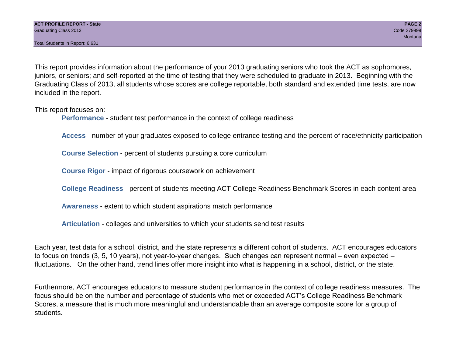This report provides information about the performance of your 2013 graduating seniors who took the ACT as sophomores, juniors, or seniors; and self-reported at the time of testing that they were scheduled to graduate in 2013. Beginning with the Graduating Class of 2013, all students whose scores are college reportable, both standard and extended time tests, are now included in the report.

This report focuses on:

**Performance** - student test performance in the context of college readiness

**Access** - number of your graduates exposed to college entrance testing and the percent of race/ethnicity participation

**Course Selection** - percent of students pursuing a core curriculum

**Course Rigor** - impact of rigorous coursework on achievement

**College Readiness** - percent of students meeting ACT College Readiness Benchmark Scores in each content area

**Awareness** - extent to which student aspirations match performance

**Articulation** - colleges and universities to which your students send test results

Each year, test data for a school, district, and the state represents a different cohort of students. ACT encourages educators to focus on trends (3, 5, 10 years), not year-to-year changes. Such changes can represent normal – even expected – fluctuations. On the other hand, trend lines offer more insight into what is happening in a school, district, or the state.

Furthermore, ACT encourages educators to measure student performance in the context of college readiness measures. The focus should be on the number and percentage of students who met or exceeded ACT's College Readiness Benchmark Scores, a measure that is much more meaningful and understandable than an average composite score for a group of students.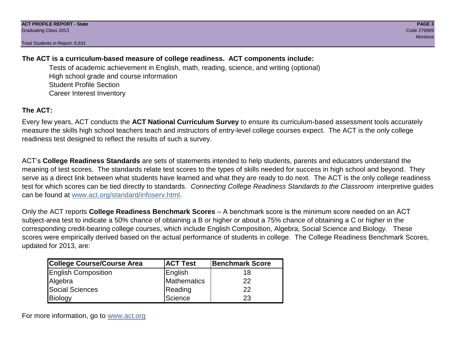# **The ACT is a curriculum-based measure of college readiness. ACT components include:**

Tests of academic achievement in English, math, reading, science, and writing (optional) High school grade and course information Student Profile Section Career Interest Inventory

# **The ACT:**

Every few years, ACT conducts the **ACT National Curriculum Survey** to ensure its curriculum-based assessment tools accurately measure the skills high school teachers teach and instructors of entry-level college courses expect. The ACT is the only college readiness test designed to reflect the results of such a survey.

ACT's **College Readiness Standards** are sets of statements intended to help students, parents and educators understand the meaning of test scores. The standards relate test scores to the types of skills needed for success in high school and beyond. They serve as a direct link between what students have learned and what they are ready to do next. The ACT is the only college readiness test for which scores can be tied directly to standards. *Connecting College Readiness Standards to the Classroom* interpretive guides can be found at www.act.org/standard/infoserv.html.

Only the ACT reports **College Readiness Benchmark Scores** – A benchmark score is the minimum score needed on an ACT subject-area test to indicate a 50% chance of obtaining a B or higher or about a 75% chance of obtaining a C or higher in the corresponding credit-bearing college courses, which include English Composition, Algebra, Social Science and Biology. These scores were empirically derived based on the actual performance of students in college. The College Readiness Benchmark Scores, updated for 2013, are:

| <b>College Course/Course Area</b> | <b>ACT Test</b> | Benchmark Score |
|-----------------------------------|-----------------|-----------------|
| <b>English Composition</b>        | English         | 18              |
| Algebra                           | Mathematics     | 22              |
| <b>Social Sciences</b>            | Reading         | 22              |
| Biology                           | Science         | 23              |

For more information, go to www.act.org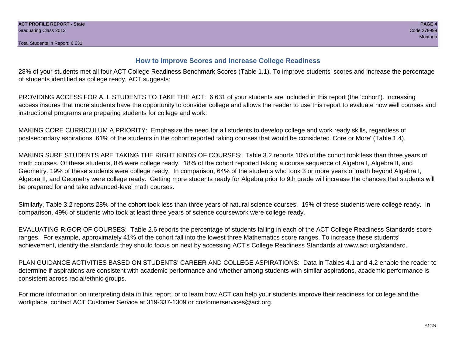# **How to Improve Scores and Increase College Readiness**

28% of your students met all four ACT College Readiness Benchmark Scores (Table 1.1). To improve students' scores and increase the percentage of students identified as college ready, ACT suggests:

PROVIDING ACCESS FOR ALL STUDENTS TO TAKE THE ACT: 6,631 of your students are included in this report (the 'cohort'). Increasing access insures that more students have the opportunity to consider college and allows the reader to use this report to evaluate how well courses and instructional programs are preparing students for college and work.

MAKING CORE CURRICULUM A PRIORITY: Emphasize the need for all students to develop college and work ready skills, regardless of postsecondary aspirations. 61% of the students in the cohort reported taking courses that would be considered 'Core or More' (Table 1.4).

MAKING SURE STUDENTS ARE TAKING THE RIGHT KINDS OF COURSES: Table 3.2 reports 10% of the cohort took less than three years of math courses. Of these students, 8% were college ready. 18% of the cohort reported taking a course sequence of Algebra I, Algebra II, and Geometry. 19% of these students were college ready. In comparison, 64% of the students who took 3 or more years of math beyond Algebra I, Algebra II, and Geometry were college ready. Getting more students ready for Algebra prior to 9th grade will increase the chances that students will be prepared for and take advanced-level math courses.

Similarly, Table 3.2 reports 28% of the cohort took less than three years of natural science courses. 19% of these students were college ready. In comparison, 49% of students who took at least three years of science coursework were college ready.

EVALUATING RIGOR OF COURSES: Table 2.6 reports the percentage of students falling in each of the ACT College Readiness Standards score ranges. For example, approximately 41% of the cohort fall into the lowest three Mathematics score ranges. To increase these students' achievement, identify the standards they should focus on next by accessing ACT's College Readiness Standards at www.act.org/standard.

PLAN GUIDANCE ACTIVITIES BASED ON STUDENTS' CAREER AND COLLEGE ASPIRATIONS: Data in Tables 4.1 and 4.2 enable the reader to determine if aspirations are consistent with academic performance and whether among students with similar aspirations, academic performance is consistent across racial/ethnic groups.

For more information on interpreting data in this report, or to learn how ACT can help your students improve their readiness for college and the workplace, contact ACT Customer Service at 319-337-1309 or customerservices@act.org.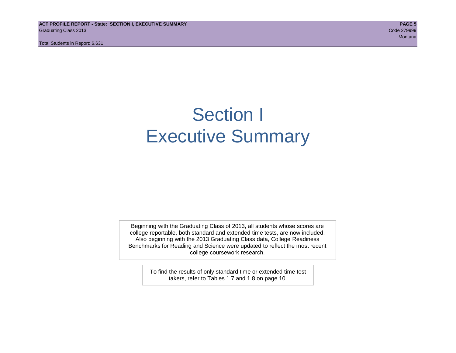**ACT PROFILE REPORT - State: SECTION I, EXECUTIVE SUMMARY PAGE 5** Graduating Class 2013 Code 279999

Total Students in Report: 6,631

de la construcción de la construcción de la construcción de la construcción de la construcción de Montana en 1

# Section I Executive Summary

Beginning with the Graduating Class of 2013, all students whose scores are college reportable, both standard and extended time tests, are now included. Also beginning with the 2013 Graduating Class data, College Readiness Benchmarks for Reading and Science were updated to reflect the most recent college coursework research.

> To find the results of only standard time or extended time test takers, refer to Tables 1.7 and 1.8 on page 10.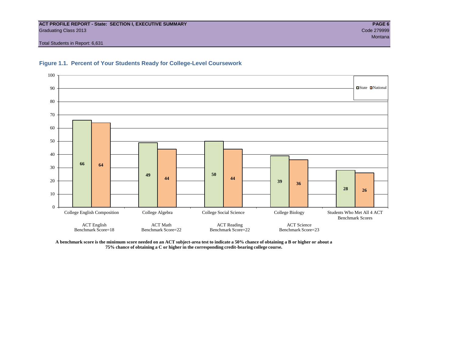#### **ACT PROFILE REPORT - State: SECTION I, EXECUTIVE SUMMARY PAGE 6** Graduating Class 2013 Code 279999

Total Students in Report: 6,631





**A benchmark score is the minimum score needed on an ACT subject-area test to indicate a 50% chance of obtaining a B or higher or about a 75% chance of obtaining a C or higher in the corresponding credit-bearing college course.**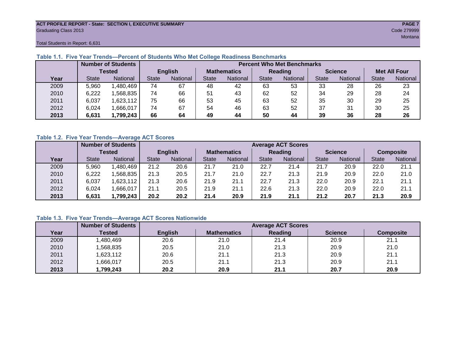#### **ACT PROFILE REPORT - State: SECTION I, EXECUTIVE SUMMARY PAGE 7** Graduating Class 2013 Code 279999

Total Students in Report: 6,631

|      |              | <b>Number of Students</b> |              |                |                    | <b>Percent Who Met Benchmarks</b> |              |          |                |          |                     |          |  |  |  |
|------|--------------|---------------------------|--------------|----------------|--------------------|-----------------------------------|--------------|----------|----------------|----------|---------------------|----------|--|--|--|
|      |              | <b>Tested</b>             |              | <b>English</b> | <b>Mathematics</b> |                                   | Reading      |          | <b>Science</b> |          | <b>Met All Four</b> |          |  |  |  |
| Year | <b>State</b> | <b>National</b>           | <b>State</b> | National       | State              | National                          | <b>State</b> | National | <b>State</b>   | National | <b>State</b>        | National |  |  |  |
| 2009 | 5,960        | ,480,469                  | 74           | 67             | 48                 | 42                                | 63           | 53       | 33             | 28       | 26                  | 23       |  |  |  |
| 2010 | 6,222        | .568.835                  | 74           | 66             | 51                 | 43                                | 62           | 52       | 34             | 29       | 28                  | 24       |  |  |  |
| 2011 | 6,037        | 1,623,112                 | 75           | 66             | 53                 | 45                                | 63           | 52       | 35             | 30       | 29                  | 25       |  |  |  |
| 2012 | 6,024        | .666,017                  | 74           | 67             | 54                 | 46                                | 63           | 52       | 37             | 31       | 30                  | 25       |  |  |  |
| 2013 | 6,631        | 1,799,243                 | 66           | 64             | 49                 | 44                                | 50           | 44       | 39             | 36       | 28                  | 26       |  |  |  |

# **Table 1.1. Five Year Trends—Percent of Students Who Met College Readiness Benchmarks**

# **Table 1.2. Five Year Trends—Average ACT Scores**

|      |              | <b>Number of Students</b> |              |                | <b>Average ACT Scores</b> |                 |                |          |                |          |                  |          |  |  |
|------|--------------|---------------------------|--------------|----------------|---------------------------|-----------------|----------------|----------|----------------|----------|------------------|----------|--|--|
|      |              | <b>Tested</b>             |              | <b>English</b> | <b>Mathematics</b>        |                 | <b>Reading</b> |          | <b>Science</b> |          | <b>Composite</b> |          |  |  |
| Year | <b>State</b> | <b>National</b>           | <b>State</b> | National       |                           | <b>National</b> | State          | National | <b>State</b>   | National | <b>State</b>     | National |  |  |
| 2009 | 5,960        | .480,469                  | 21.2         | 20.6           | 21.7                      | 21.0            | 22.7           | 21.4     | 21.7           | 20.9     | 22.0             | 21.1     |  |  |
| 2010 | 6,222        | .568.835                  | 21.3         | 20.5           | 21.7                      | 21.0            | 22.7           | 21.3     | 21.9           | 20.9     | 22.0             | 21.0     |  |  |
| 2011 | 6,037        | .623,112                  | 21.3         | 20.6           | 21.9                      | 21.1            | 22.7           | 21.3     | 22.0           | 20.9     | 22.1             | 21.1     |  |  |
| 2012 | 6,024        | ,666,017                  | 21.1         | 20.5           | 21.9                      | 21.1            | 22.6           | 21.3     | 22.0           | 20.9     | 22.0             | 21.1     |  |  |
| 2013 | 6,631        | 1,799,243                 | 20.2         | 20.2           | 21.4                      | 20.9            | 21.9           | 21.1     | 21.2           | 20.7     | 21.3             | 20.9     |  |  |

# **Table 1.3. Five Year Trends—Average ACT Scores Nationwide**

|      | <b>Number of Students</b> |                | <b>Average ACT Scores</b> |         |                |                  |  |  |  |  |  |  |
|------|---------------------------|----------------|---------------------------|---------|----------------|------------------|--|--|--|--|--|--|
| Year | Tested                    | <b>English</b> | <b>Mathematics</b>        | Reading | <b>Science</b> | <b>Composite</b> |  |  |  |  |  |  |
| 2009 | ,480,469                  | 20.6           | 21.0                      | 21.4    | 20.9           | 21.1             |  |  |  |  |  |  |
| 2010 | ,568,835                  | 20.5           | 21.0                      | 21.3    | 20.9           | 21.0             |  |  |  |  |  |  |
| 2011 | ,623,112                  | 20.6           | 21.1                      | 21.3    | 20.9           | 21.1             |  |  |  |  |  |  |
| 2012 | ,666,017                  | 20.5           | 21.1                      | 21.3    | 20.9           | 21.1             |  |  |  |  |  |  |
| 2013 | ,799,243                  | 20.2           | 20.9                      | 21.1    | 20.7           | 20.9             |  |  |  |  |  |  |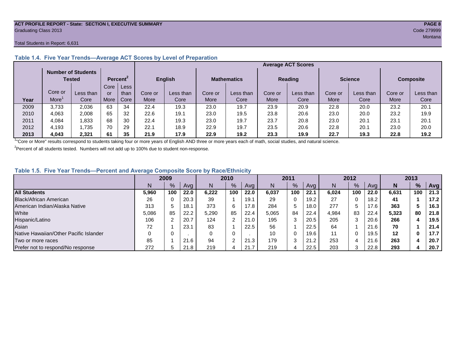#### **ACT PROFILE REPORT - State: SECTION I, EXECUTIVE SUMMARY PAGE 8** Graduating Class 2013 Code 279999

#### Total Students in Report: 6,631

|      |         | <b>Number of Students</b><br>Tested |      | Percent <sup>2</sup> |             | <b>English</b> |         | <b>Mathematics</b> |         | <b>Reading</b> |         | <b>Science</b> | <b>Composite</b> |           |
|------|---------|-------------------------------------|------|----------------------|-------------|----------------|---------|--------------------|---------|----------------|---------|----------------|------------------|-----------|
|      |         |                                     | Core | Less                 |             |                |         |                    |         |                |         |                |                  |           |
|      | Core or | Less than                           | or   | than                 | Core or     | Less than      | Core or | Less than          | Core or | Less than      | Core or | Less than      | Core or          | Less than |
| Year | More    | Core                                | More | Core                 | <b>More</b> | Core           | More    | Core               | More    | Core           | More    | Core           | More             | Core      |
| 2009 | 3.733   | 2,036                               | 63   | 34                   | 22.4        | 19.3           | 23.0    | 19.7               | 23.9    | 20.9           | 22.8    | 20.0           | 23.2             | 20.1      |
| 2010 | 4.063   | 2.008                               | 65   | 32                   | 22.6        | 19.1           | 23.0    | 19.5               | 23.8    | 20.6           | 23.0    | 20.0           | 23.2             | 19.9      |
| 2011 | 4,084   | .833                                | 68   | 30                   | 22.4        | 19.3           | 23.0    | 19.7               | 23.7    | 20.8           | 23.0    | 20.1           | 23.7             | 20.1      |
| 2012 | 4,193   | .735                                | 70   | 29                   | 22.1        | 18.9           | 22.9    | 19.7               | 23.5    | 20.6           | 22.8    | 20.1           | 23.0             | 20.0      |
| 2013 | 4,043   | 2,321                               | 61   | 35                   | 21.9        | 17.9           | 22.9    | 19.2               | 23.3    | 19.9           | 22.7    | 19.3           | 22.8             | 19.2      |

# **Table 1.4. Five Year Trends—Average ACT Scores by Level of Preparation**

<sup>1</sup>"Core or More" results correspond to students taking four or more years of English AND three or more years each of math, social studies, and natural science.

 $2$ Percent of all students tested. Numbers will not add up to 100% due to student non-response.

# **Table 1.5. Five Year Trends—Percent and Average Composite Score by Race/Ethnicity**

|                                        | 2009  |      |      | 2010  |               | 2011 |       |              | 2012 |       |     | 2013 |         |     |      |
|----------------------------------------|-------|------|------|-------|---------------|------|-------|--------------|------|-------|-----|------|---------|-----|------|
|                                        | N     | $\%$ | Avg  | N     | $\frac{9}{6}$ | Avg  | N     | %            | Avg  | N     | %   | Ava  | N       | %   | Avg  |
| <b>All Students</b>                    | 5,960 | 100  | 22.0 | 6.222 | 100           | 22.0 | 6.037 | 100          | 22.1 | 6.024 | 100 | 22.0 | 6,631   | 100 | 21.3 |
| Black/African American                 | 26    |      | 20.3 | 39    |               | 19.1 | 29    | 0            | 19.2 | 27    |     | 18.2 | 41      |     | 17.2 |
| American Indian/Alaska Native          | 313   |      | 18.1 | 373   | 6             | 17.8 | 284   | 5            | 18.0 | 277   |     | 17.6 | 363     |     | 16.3 |
| White                                  | 5,086 | 85   | 22.2 | 5,290 | 85            | 22.4 | 5,065 | 84           | 22.4 | 4,984 | 83  | 22.4 | 5,323   | 80  | 21.8 |
| Hispanic/Latino                        | 106   |      | 20.7 | 124   | າ             | 21.0 | 195   | 3            | 20.5 | 205   |     | 20.6 | 266     |     | 19.5 |
| Asian                                  | 72    |      | 23.  | 83    |               | 22.5 | 56    |              | 22.5 | 64    |     | 21.6 | 70      |     | 21.4 |
| Native Hawaiian/Other Pacific Islander |       |      |      |       | 0             |      | 10    | 0            | 19.6 | 11    |     | 19.5 | $12 \,$ | 0   | 17.7 |
| Two or more races                      | 85    |      | 21.6 | 94    | $\sim$        | 21.3 | 179   | $\sim$<br>د. | 21.2 | 253   |     | 21.6 | 263     |     | 20.7 |
| Prefer not to respond/No response      | 272   |      | 21.8 | 219   | 4             | 21.7 | 219   | Д            | 22.5 | 203   |     | 22.8 | 293     |     | 20.7 |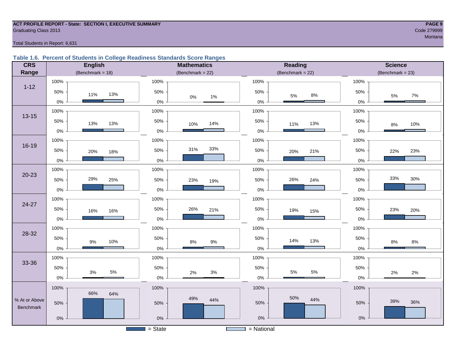#### **ACT PROFILE REPORT - State: SECTION I, EXECUTIVE SUMMARY PAGE 9 Graduating Class 2013** Code 279999 Code 279999

# de la construcción de la construcción de la construcción de la construcción de la construcción de Montana en 1

#### Total Students in Report: 6,631

# **Table 1.6. Percent of Students in College Readiness Standards Score Ranges**

| <b>CRS</b>                        | <b>English</b>            | <b>Mathematics</b>    | <b>Reading</b>          | <b>Science</b>       |  |  |  |
|-----------------------------------|---------------------------|-----------------------|-------------------------|----------------------|--|--|--|
| Range                             | (Benchmark = $18$ )       | (Benchmark = $22$ )   | (Benchmark = $22$ )     | $(Benchmark = 23)$   |  |  |  |
| $1 - 12$                          | 100%<br>50%<br>13%<br>11% | 100%<br>50%           | 100%<br>50%             | 100%<br>50%          |  |  |  |
|                                   | $0\%$                     | $0\%$<br>1%<br>$0\%$  | $8\%$<br>$5\%$<br>$0\%$ | $7\%$<br>5%<br>$0\%$ |  |  |  |
| $13 - 15$                         | 100%                      | 100%                  | 100%                    | 100%                 |  |  |  |
|                                   | 50%<br>13%<br>13%         | 50%<br>14%<br>10%     | 50%<br>13%<br>11%       | 50%<br>10%<br>8%     |  |  |  |
|                                   | $0\%$                     | $0\%$                 | $0\%$                   | 0%                   |  |  |  |
| 16-19                             | 100%                      | 100%                  | 100%                    | 100%                 |  |  |  |
|                                   | 50%<br>20%<br>18%         | 33%<br>31%<br>50%     | 50%<br>21%<br>20%       | 50%<br>23%<br>22%    |  |  |  |
|                                   | $0\%$                     | 0%                    | $0\%$                   | 0%                   |  |  |  |
|                                   | 100%                      | 100%                  | 100%                    | 100%                 |  |  |  |
| $20 - 23$                         | 29%<br>50%<br>25%         | 50%<br>23%<br>19%     | 50%<br>26%<br>24%       | 33%<br>30%<br>50%    |  |  |  |
|                                   | $0\%$                     | $0\%$                 | $0\%$                   | 0%                   |  |  |  |
| $24 - 27$                         | 100%                      | 100%                  | 100%                    | 100%                 |  |  |  |
|                                   | 50%<br>16%<br>16%         | 50%<br>26%<br>21%     | 50%<br>19%<br>15%       | 50%<br>23%<br>20%    |  |  |  |
|                                   | $0\%$                     | $0\%$                 | $0\%$                   | 0%                   |  |  |  |
| 28-32                             | 100%                      | 100%                  | 100%                    | 100%                 |  |  |  |
|                                   | 50%<br>10%<br>$9\%$       | 50%<br>$9\%$<br>$8\%$ | 50%<br>14%<br>13%       | 50%<br>8%<br>$8\%$   |  |  |  |
|                                   | $0\%$                     | $0\%$                 | $0\%$                   | $0\%$                |  |  |  |
| 33-36                             | 100%                      | 100%                  | 100%                    | 100%                 |  |  |  |
|                                   | 50%<br>$5\%$<br>$3\%$     | 50%<br>$3%$           | 50%<br>$5\%$<br>$5\%$   | 50%                  |  |  |  |
|                                   | $0\%$                     | $2\%$<br>$0\%$        | $0\%$                   | 2%<br>$2\%$<br>$0\%$ |  |  |  |
|                                   | 100%                      | 100%                  | 100%                    | 100%                 |  |  |  |
| % At or Above<br><b>Benchmark</b> | 66%<br>64%<br>50%         | 49%<br>44%<br>50%     | 50%<br>44%<br>50%       | 39%<br>36%<br>50%    |  |  |  |
|                                   | $0\%$                     | $0\%$                 | $0\%$                   | $0\%$                |  |  |  |
|                                   |                           | $=$ State             | $=$ National            |                      |  |  |  |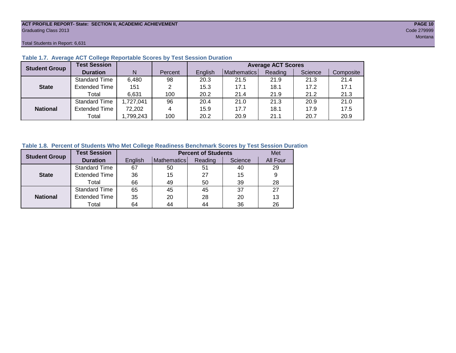#### **ACT PROFILE REPORT- State: SECTION II, ACADEMIC ACHIEVEMENT PAGE 10** Graduating Class 2013 Code 279999

#### Total Students in Report: 6,631

| <b>Student Group</b> | <b>Test Session</b>  |           |         | <b>Average ACT Scores</b> |             |         |         |           |  |  |  |  |
|----------------------|----------------------|-----------|---------|---------------------------|-------------|---------|---------|-----------|--|--|--|--|
|                      | <b>Duration</b>      | N         | Percent | English                   | Mathematics | Reading | Science | Composite |  |  |  |  |
|                      | Standard Time        | 6,480     | 98      | 20.3                      | 21.5        | 21.9    | 21.3    | 21.4      |  |  |  |  |
| <b>State</b>         | <b>Extended Time</b> | 151       | 2       | 15.3                      | 17.1        | 18.1    | 17.2    | 17.1      |  |  |  |  |
|                      | Total                | 6,631     | 100     | 20.2                      | 21.4        | 21.9    | 21.2    | 21.3      |  |  |  |  |
|                      | <b>Standard Time</b> | 1,727,041 | 96      | 20.4                      | 21.0        | 21.3    | 20.9    | 21.0      |  |  |  |  |
| <b>National</b>      | <b>Extended Time</b> | 72,202    | 4       | 15.9                      | 17.7        | 18.1    | 17.9    | 17.5      |  |  |  |  |
|                      | Total                | ,799,243  | 100     | 20.2                      | 20.9        | 21.1    | 20.7    | 20.9      |  |  |  |  |

### **Table 1.7. Average ACT College Reportable Scores by Test Session Duration**

## **Table 1.8. Percent of Students Who Met College Readiness Benchmark Scores by Test Session Duration**

| <b>Student Group</b> | <b>Test Session</b>  |         | <b>Percent of Students</b> |         |         |          |  |  |  |  |  |
|----------------------|----------------------|---------|----------------------------|---------|---------|----------|--|--|--|--|--|
|                      | <b>Duration</b>      | English | Mathematics                | Reading | Science | All Four |  |  |  |  |  |
|                      | Standard Time        | 67      | 50                         | 51      | 40      | 29       |  |  |  |  |  |
| <b>State</b>         | <b>Extended Time</b> | 36      | 15                         | 27      | 15      | 9        |  |  |  |  |  |
|                      | Total                | 66      | 49                         | 50      | 39      | 28       |  |  |  |  |  |
|                      | <b>Standard Time</b> | 65      | 45                         | 45      | 37      | 27       |  |  |  |  |  |
| <b>National</b>      | <b>Extended Time</b> | 35      | 20                         | 28      | 20      | 13       |  |  |  |  |  |
|                      | Total                | 64      | 44                         | 44      | 36      | 26       |  |  |  |  |  |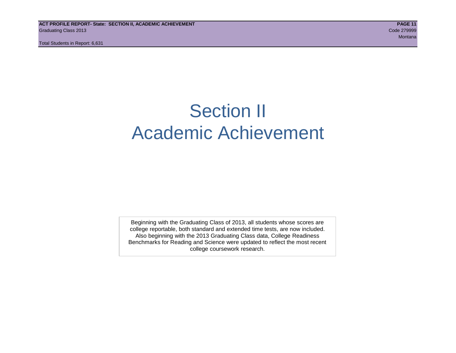# Section II Academic Achievement

Beginning with the Graduating Class of 2013, all students whose scores are college reportable, both standard and extended time tests, are now included. Also beginning with the 2013 Graduating Class data, College Readiness Benchmarks for Reading and Science were updated to reflect the most recent college coursework research.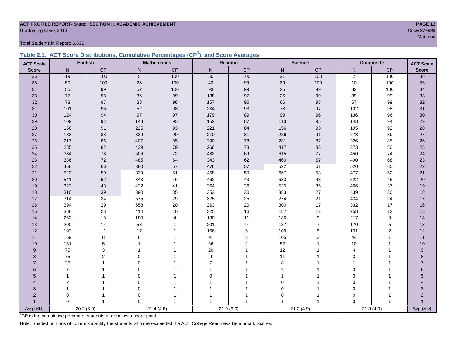#### **ACT PROFILE REPORT- State: SECTION II, ACADEMIC ACHIEVEMENT PAGE 12** Code 279999 Craduating Class 2013

Total Students in Report: 6,631

|  | Table 2.1. ACT Score Distributions, Cumulative Percentages (CP <sup>1</sup> ), and Score Averages |  |  |  |
|--|---------------------------------------------------------------------------------------------------|--|--|--|
|  |                                                                                                   |  |  |  |

| <b>ACT Scale</b> |                | <b>English</b> |                | <b>Mathematics</b> |                | Reading        | <b>Science</b><br><b>Composite</b> |                | <b>ACT Scale</b> |                  |                  |
|------------------|----------------|----------------|----------------|--------------------|----------------|----------------|------------------------------------|----------------|------------------|------------------|------------------|
| <b>Score</b>     | N              | CP             | N              | CP                 | N              | CP             | $\mathsf{N}$                       | CP             | N                | CP               | <b>Score</b>     |
| 36               | 19             | 100            | $\overline{5}$ | 100                | 50             | 100            | 21                                 | 100            | $\overline{2}$   | 100              | 36               |
| 35               | 50             | 100            | 23             | 100                | 43             | 99             | 39                                 | 100            | $10\,$           | 100              | 35               |
| 34               | 55             | 99             | 52             | 100                | 93             | 99             | 25                                 | 99             | 32               | 100              | 34               |
| 33               | 77             | 98             | 36             | 99                 | 138            | 97             | 25                                 | 99             | 39               | 99               | 33               |
| 32               | 73             | 97             | 38             | 98                 | 157            | 95             | 66                                 | 98             | 57               | 99               | 32               |
| 31               | 101            | 96             | 52             | 98                 | 234            | 93             | 73                                 | $97\,$         | 102              | 98               | 31               |
| 30               | 124            | 94             | 97             | 97                 | 179            | 89             | 99                                 | 96             | 136              | 96               | 30               |
| 29               | 109            | 92             | 148            | 95                 | 152            | 87             | 113                                | 95             | 148              | 94               | 29               |
| 28               | 166            | 91             | 225            | 93                 | 221            | 84             | 156                                | 93             | 195              | 92               | 28               |
| 27               | 183            | 88             | 339            | $90\,$             | 210            | 81             | 226                                | 91             | 273              | 89               | 27               |
| 26               | 217            | 86             | 407            | 85                 | 290            | 78             | 281                                | 87             | 326              | 85               | 26               |
| 25               | 285            | 82             | 439            | 79                 | 266            | 73             | 417                                | 83             | 373              | 80               | 25               |
| 24               | 384            | 78             | 506            | 72                 | 482            | 69             | 615                                | $77\,$         | 450              | 74               | 24               |
| 23               | 386            | 72             | 485            | 64                 | 343            | 62             | 460                                | 67             | 490              | 68               | 23               |
| 22               | 458            | 66             | 380            | 57                 | 478            | 57             | 522                                | 61             | 520              | 60               | 22               |
| 21               | 523            | 59             | 339            | 51                 | 458            | 50             | 667                                | 53             | 477              | 52               | 21               |
| 20               | 541            | 52             | 343            | 46                 | 462            | 43             | 533                                | 43             | 522              | 45               | 20               |
| 19               | 322            | 43             | 422            | 41                 | 364            | 36             | 525                                | 35             | 466              | 37               | 19               |
| 18               | 310            | 39             | 390            | 35                 | 353            | 30             | 383                                | $27\,$         | 439              | 30               | 18               |
| 17               | 314            | 34             | 575            | 29                 | 325            | 25             | 274                                | 21             | 434              | 24               | 17               |
| 16               | 394            | 29             | 658            | 20                 | 263            | 20             | 300                                | 17             | 332              | 17               | 16               |
| 15               | 368            | 23             | 414            | 10                 | 325            | 16             | 187                                | 12             | 258              | 12               | 15               |
| 14               | 263            | 18             | 180            | $\overline{4}$     | 180            | 11             | 186                                | 9              | 217              | 8                | 14               |
| 13               | 200            | 14             | 53             |                    | 201            | 9              | 137                                | $\overline{7}$ | 170              | $\mathbf 5$      | 13               |
| 12               | 193            | 11             | 17             |                    | 166            | 5              | 109                                | $\mathbf 5$    | 101              | $\boldsymbol{2}$ | 12               |
| 11               | 169            | 8              | 6              |                    | 91             | 3              | 105                                | 3              | 44               | $\mathbf{1}$     | 11               |
| 10               | 151            | 5              | 1              |                    | 66             | $\overline{2}$ | 52                                 |                | 10               | 1                | 10               |
| 9                | 75             | 3              |                |                    | $20\,$         |                | 12                                 | 1              | $\overline{4}$   | 1                | $\boldsymbol{9}$ |
| 8                | 75             | $\overline{2}$ | $\Omega$       |                    | 9              |                | 11                                 |                | 3                |                  | 8                |
| $\overline{7}$   | 35             |                | $\Omega$       |                    | $\overline{7}$ |                | 8                                  |                |                  |                  | $\overline{7}$   |
| 6                | $\overline{7}$ |                | $\Omega$       |                    | 1              |                | 2                                  |                | $\Omega$         |                  | 6                |
| 5                | $\mathbf{1}$   |                | $\Omega$       |                    | 0              |                | $\mathbf{1}$                       |                | $\mathbf 0$      |                  | 5                |
| 4                | $\overline{2}$ |                | $\pmb{0}$      |                    |                |                | $\mathbf 0$                        |                | 0                |                  | 4                |
| 3                | 1              |                | $\mathbf 0$    |                    |                |                | $\Omega$                           | 1              | $\mathbf 0$      |                  | 3                |
| $\overline{2}$   | 0              |                | 0              |                    |                |                | 0                                  | 1              | $\mathbf 0$      |                  | $\overline{c}$   |
|                  | $\Omega$       | $\overline{1}$ | $\Omega$       |                    | 1              | 1              | $\overline{ }$                     | 1              | $\Omega$         |                  | Avg (SD)         |
| Avg (SD)         |                | 20.2(6.0)      |                | 21.4(4.8)          |                | 21.9(6.0)      |                                    | 21.2(4.9)      |                  | 21.3(4.9)        |                  |

<sup>1</sup>CP is the cumulative percent of students at or below a score point.

Note: Shaded portions of columns identify the students who met/exceeded the ACT College Readiness Benchmark Scores.

man and the contract of the contract of the contract of the contract of the contract of the contract of the contract of the contract of the contract of the contract of the contract of the contract of the contract of the co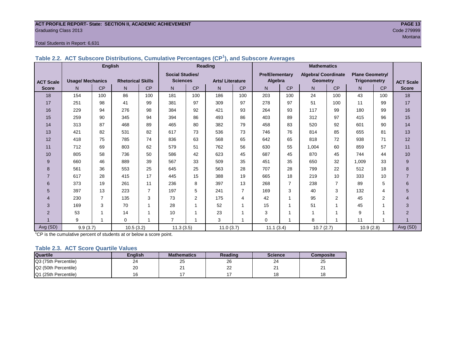#### **ACT PROFILE REPORT- State: SECTION II, ACADEMIC ACHIEVEMENT PAGE 13** Graduating Class 2013 Code 279999

#### Total Students in Report: 6,631

|                  |                         | <b>English</b> |                          |                |                        |                | Reading                |                         | <b>Mathematics</b>    |                |                     |                |                        |                |                  |
|------------------|-------------------------|----------------|--------------------------|----------------|------------------------|----------------|------------------------|-------------------------|-----------------------|----------------|---------------------|----------------|------------------------|----------------|------------------|
|                  |                         |                |                          |                | <b>Social Studies/</b> |                |                        |                         | <b>Pre/Elementarv</b> |                | Algebra/ Coordinate |                | <b>Plane Geometry/</b> |                |                  |
| <b>ACT Scale</b> | <b>Usage/ Mechanics</b> |                | <b>Rhetorical Skills</b> |                | <b>Sciences</b>        |                | <b>Arts/Literature</b> |                         | Algebra               |                | <b>Geometry</b>     |                | Trigonometry           |                | <b>ACT Scale</b> |
| <b>Score</b>     | N <sub>1</sub>          | <b>CP</b>      | N                        | CP             | N                      | CP             | N                      | CP                      | N                     | <b>CP</b>      | N                   | <b>CP</b>      | N                      | CP             | <b>Score</b>     |
| 18               | 154                     | 100            | 86                       | 100            | 181                    | 100            | 186                    | 100                     | 203                   | 100            | 24                  | 100            | 43                     | 100            | 18               |
| 17               | 251                     | 98             | 41                       | 99             | 381                    | 97             | 309                    | 97                      | 278                   | 97             | 51                  | 100            | 11                     | 99             | 17               |
| 16               | 229                     | 94             | 276                      | 98             | 384                    | 92             | 421                    | 93                      | 264                   | 93             | 117                 | 99             | 180                    | 99             | 16               |
| 15               | 259                     | 90             | 345                      | 94             | 394                    | 86             | 493                    | 86                      | 403                   | 89             | 312                 | 97             | 415                    | 96             | 15               |
| 14               | 313                     | 87             | 468                      | 89             | 465                    | 80             | 382                    | 79                      | 458                   | 83             | 520                 | 92             | 601                    | 90             | 14               |
| 13               | 421                     | 82             | 531                      | 82             | 617                    | 73             | 536                    | 73                      | 746                   | 76             | 814                 | 85             | 655                    | 81             | 13               |
| 12               | 418                     | 75             | 785                      | 74             | 836                    | 63             | 568                    | 65                      | 642                   | 65             | 818                 | 72             | 938                    | 71             | 12               |
| 11               | 712                     | 69             | 803                      | 62             | 579                    | 51             | 762                    | 56                      | 630                   | 55             | 1,004               | 60             | 859                    | 57             | 11               |
| 10               | 805                     | 58             | 736                      | 50             | 586                    | 42             | 623                    | 45                      | 687                   | 45             | 870                 | 45             | 744                    | 44             | 10               |
| 9                | 660                     | 46             | 889                      | 39             | 567                    | 33             | 509                    | 35                      | 451                   | 35             | 650                 | 32             | 1,009                  | 33             | 9                |
| 8                | 561                     | 36             | 553                      | 25             | 645                    | 25             | 563                    | 28                      | 707                   | 28             | 799                 | 22             | 512                    | 18             | 8                |
| $\overline{7}$   | 617                     | 28             | 415                      | 17             | 445                    | 15             | 388                    | 19                      | 665                   | 18             | 219                 | 10             | 333                    | 10             | $\overline{7}$   |
| 6                | 373                     | 19             | 261                      | 11             | 236                    | 8              | 397                    | 13                      | 268                   | $\overline{7}$ | 238                 | 7              | 89                     | 5              | 6                |
| 5                | 397                     | 13             | 223                      | $\overline{7}$ | 197                    | 5              | 241                    | 7                       | 169                   | 3              | 40                  | 3              | 132                    | 4              | 5                |
| $\overline{4}$   | 230                     | $\overline{7}$ | 135                      | 3              | 73                     | $\overline{2}$ | 175                    | 4                       | 42                    | 1              | 95                  | $\overline{2}$ | 45                     | $\overline{2}$ | 4                |
| 3                | 169                     | 3              | 70                       | $\mathbf{1}$   | 28                     |                | 52                     | 1                       | 15                    |                | 51                  | 1              | 45                     | 1              | 3                |
| $\overline{2}$   | 53                      | 1              | 14                       | 1              | 10                     |                | 23                     |                         | 3                     |                | 1                   | 4              | 9                      | 1              | $\overline{2}$   |
|                  | 9                       | $\mathbf{1}$   | $\Omega$                 | 1              | $\overline{7}$         |                | 3                      | $\overline{\mathbf{1}}$ | $\mathbf 0$           |                | 8                   | 1              | 11                     | 1              |                  |
| Avg (SD)         | 9.9(3.7)                |                | 10.5(3.2)                |                | 11.3(3.5)              |                | 11.0(3.7)              |                         | 11.1(3.4)             |                | 10.7(2.7)           |                | 10.9(2.8)              |                | Avg (SD)         |

**Table 2.2. ACT Subscore Distributions, Cumulative Percentages (CP<sup>1</sup> ), and Subscore Averages**

<sup>1</sup>CP is the cumulative percent of students at or below a score point.

#### **Table 2.3. ACT Score Quartile Values**

| <b>Quartile</b>      | <b>Enalish</b> | <b>Mathematics</b> | Reading  | <b>Science</b> | Composite |
|----------------------|----------------|--------------------|----------|----------------|-----------|
| Q3 (75th Percentile) | 24             | 25                 | 26       | 24             | 25        |
| Q2 (50th Percentile) | 20             | <u>_</u>           | nr<br>∠∠ | ິ<br>-         | <u>_</u>  |
| Q1 (25th Percentile) |                |                    |          | י ^<br>۱o      |           |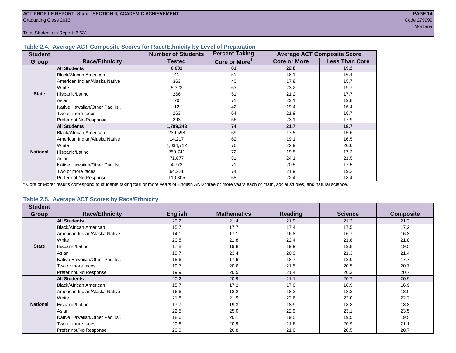#### **Table 2.4. Average ACT Composite Scores for Race/Ethnicity by Level of Preparation**

| <b>Student</b>  |                                 | <b>Number of Students</b> | <b>Percent Taking</b>     |                     | <b>Average ACT Composite Score</b> |
|-----------------|---------------------------------|---------------------------|---------------------------|---------------------|------------------------------------|
| <b>Group</b>    | <b>Race/Ethnicity</b>           | <b>Tested</b>             | Core or More <sup>1</sup> | <b>Core or More</b> | <b>Less Than Core</b>              |
|                 | <b>All Students</b>             | 6,631                     | 61                        | 22.8                | 19.2                               |
|                 | Black/African American          | 41                        | 51                        | 18.1                | 16.4                               |
|                 | American Indian/Alaska Native   | 363                       | 40                        | 17.8                | 15.7                               |
|                 | White                           | 5,323                     | 63                        | 23.2                | 19.7                               |
| <b>State</b>    | Hispanic/Latino                 | 266                       | 51                        | 21.2                | 17.7                               |
|                 | Asian                           | 70                        | 71                        | 22.1                | 19.8                               |
|                 | Native Hawaiian/Other Pac. Isl. | 12                        | 42                        | 19.4                | 16.4                               |
|                 | Two or more races               | 263                       | 64                        | 21.9                | 18.7                               |
|                 | Prefer not/No Response          | 293                       | 56                        | 23.1                | 17.9                               |
|                 | <b>All Students</b>             | 1,799,243                 | 74                        | 21.7                | 18.7                               |
|                 | Black/African American          | 239,598                   | 69                        | 17.5                | 15.6                               |
|                 | American Indian/Alaska Native   | 14,217                    | 62                        | 19.1                | 16.5                               |
|                 | White                           | 1,034,712                 | 76                        | 22.9                | 20.0                               |
| <b>National</b> | Hispanic/Latino                 | 259,741                   | 72                        | 19.5                | 17.2                               |
|                 | Asian                           | 71,677                    | 81                        | 24.1                | 21.5                               |
|                 | Native Hawaiian/Other Pac. Isl. | 4,772                     | 71                        | 20.5                | 17.5                               |
|                 | Two or more races               | 64,221                    | 74                        | 21.9                | 19.2                               |
|                 | Prefer not/No Response          | 110,305                   | 58                        | 22.4                | 18.4                               |

<sup>1</sup>"Core or More" results correspond to students taking four or more years of English AND three or more years each of math, social studies, and natural science.

#### **Table 2.5. Average ACT Scores by Race/Ethnicity**

| <b>Student</b>  |                                 |                |                    |         |                |                  |
|-----------------|---------------------------------|----------------|--------------------|---------|----------------|------------------|
| Group           | <b>Race/Ethnicity</b>           | <b>English</b> | <b>Mathematics</b> | Reading | <b>Science</b> | <b>Composite</b> |
|                 | <b>All Students</b>             | 20.2           | 21.4               | 21.9    | 21.2           | 21.3             |
|                 | <b>Black/African American</b>   | 15.7           | 17.7               | 17.4    | 17.5           | 17.2             |
|                 | American Indian/Alaska Native   | 14.1           | 17.1               | 16.8    | 16.7           | 16.3             |
|                 | White                           | 20.8           | 21.8               | 22.4    | 21.8           | 21.8             |
| <b>State</b>    | Hispanic/Latino                 | 17.8           | 19.8               | 19.9    | 19.8           | 19.5             |
|                 | Asian                           | 19.7           | 23.4               | 20.9    | 21.3           | 21.4             |
|                 | Native Hawaiian/Other Pac. Isl. | 15.6           | 17.6               | 18.7    | 18.0           | 17.7             |
|                 | Two or more races               | 19.7           | 20.6               | 21.5    | 20.5           | 20.7             |
|                 | Prefer not/No Response          | 19.9           | 20.5               | 21.4    | 20.3           | 20.7             |
|                 | <b>All Students</b>             | 20.2           | 20.9               | 21.1    | 20.7           | 20.9             |
|                 | <b>Black/African American</b>   | 15.7           | 17.2               | 17.0    | 16.9           | 16.9             |
|                 | American Indian/Alaska Native   | 16.6           | 18.2               | 18.3    | 18.3           | 18.0             |
|                 | <b>White</b>                    | 21.8           | 21.9               | 22.6    | 22.0           | 22.2             |
| <b>National</b> | Hispanic/Latino                 | 17.7           | 19.3               | 18.9    | 18.8           | 18.8             |
|                 | Asian                           | 22.5           | 25.0               | 22.9    | 23.1           | 23.5             |
|                 | Native Hawaiian/Other Pac. Isl. | 18.6           | 20.1               | 19.5    | 19.5           | 19.5             |
|                 | Two or more races               | 20.6           | 20.9               | 21.6    | 20.9           | 21.1             |
|                 | Prefer not/No Response          | 20.0           | 20.8               | 21.0    | 20.5           | 20.7             |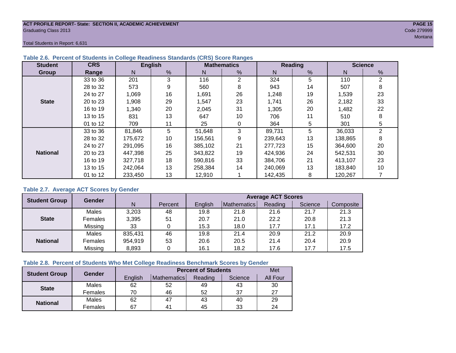#### **ACT PROFILE REPORT- State: SECTION II, ACADEMIC ACHIEVEMENT PAGE 15** Graduating Class 2013 Code 279999

Total Students in Report: 6,631

| <b>Student</b>  | <b>CRS</b> |         | <b>English</b> |         | <b>Mathematics</b> |         | <b>Reading</b> | <b>Science</b> |                |  |
|-----------------|------------|---------|----------------|---------|--------------------|---------|----------------|----------------|----------------|--|
| Group           | Range      | N.      | %              | N       | %                  | N       | $\frac{9}{6}$  | N              | %              |  |
|                 | 33 to 36   | 201     | 3              | 116     | 2                  | 324     | 5              | 110            | $\overline{2}$ |  |
|                 | 28 to 32   | 573     | 9              | 560     | 8                  | 943     | 14             | 507            | 8              |  |
|                 | 24 to 27   | 1,069   | 16             | 1,691   | 26                 | 1,248   | 19             | 1,539          | 23             |  |
| <b>State</b>    | 20 to 23   | 1,908   | 29             | 1,547   | 23                 | 1,741   | 26             | 2,182          | 33             |  |
|                 | 16 to 19   | 1,340   | 20             | 2,045   | 31                 | 1,305   | 20             | 1,482          | 22             |  |
|                 | 13 to 15   | 831     | 13             | 647     | 10                 | 706     | 11             | 510            | 8              |  |
|                 | 01 to 12   | 709     | 11             | 25      | 0                  | 364     | 5              | 301            | 5              |  |
|                 | 33 to 36   | 81,846  | 5              | 51,648  | 3                  | 89,731  | 5              | 36,033         | 2              |  |
|                 | 28 to 32   | 175,672 | 10             | 156,561 | 9                  | 239,643 | 13             | 138,865        | 8              |  |
|                 | 24 to 27   | 291,095 | 16             | 385,102 | 21                 | 277,723 | 15             | 364,600        | 20             |  |
| <b>National</b> | 20 to 23   | 447,398 | 25             | 343.822 | 19                 | 424,936 | 24             | 542,531        | 30             |  |
|                 | 16 to 19   | 327,718 | 18             | 590,816 | 33                 | 384,706 | 21             | 413,107        | 23             |  |
|                 | 13 to 15   | 242,064 | 13             | 258.384 | 14                 | 240,069 | 13             | 183,840        | 10             |  |
|                 | 01 to 12   | 233,450 | 13             | 12,910  |                    | 142,435 | 8              | 120,267        |                |  |

### **Table 2.6. Percent of Students in College Readiness Standards (CRS) Score Ranges**

# **Table 2.7. Average ACT Scores by Gender**

| <b>Student Group</b> | Gender         |         |         | <b>Average ACT Scores</b> |             |         |         |           |  |  |  |
|----------------------|----------------|---------|---------|---------------------------|-------------|---------|---------|-----------|--|--|--|
|                      |                | N       | Percent | English                   | Mathematics | Reading | Science | Composite |  |  |  |
|                      | Males          | 3,203   | 48      | 19.8                      | 21.8        | 21.6    | 21.7    | 21.3      |  |  |  |
| <b>State</b>         | <b>Females</b> | 3,395   | 51      | 20.7                      | 21.0        | 22.2    | 20.8    | 21.3      |  |  |  |
|                      | Missing        | 33      |         | 15.3                      | 18.0        | 17.7    | 17.1    | 17.2      |  |  |  |
|                      | Males          | 835,431 | 46      | 19.8                      | 21.4        | 20.9    | 21.2    | 20.9      |  |  |  |
| <b>National</b>      | Females        | 954,919 | 53      | 20.6                      | 20.5        | 21.4    | 20.4    | 20.9      |  |  |  |
|                      | Missing        | 8,893   | 0       | 16.1                      | 18.2        | 17.6    | 17.7    | 17.5      |  |  |  |

#### **Table 2.8. Percent of Students Who Met College Readiness Benchmark Scores by Gender**

| <b>Student Group</b> | Gender  |         | <b>Met</b>         |         |         |          |
|----------------------|---------|---------|--------------------|---------|---------|----------|
|                      |         | English | <b>Mathematics</b> | Reading | Science | All Four |
| <b>State</b>         | Males   | 62      | 52                 | 49      | 43      | 30       |
|                      | Females | 70      | 46                 | 52      | 37      | 27       |
|                      | Males   | 62      | 47                 | 43      | 40      | 29       |
| <b>National</b>      | Females | 67      | 4 <sup>1</sup>     | 45      | 33      | 24       |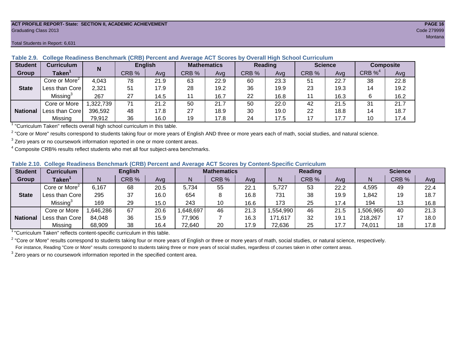#### **ACT PROFILE REPORT- State: SECTION II, ACADEMIC ACHIEVEMENT PAGE 16** Graduating Class 2013 Code 279999

#### Total Students in Report: 6,631

| <b>Student</b>  | <b>Curriculum</b>         |         | <b>English</b><br>N |      | <b>Mathematics</b> |      | Reading |      | <b>Science</b> |      | Composite  |      |
|-----------------|---------------------------|---------|---------------------|------|--------------------|------|---------|------|----------------|------|------------|------|
| <b>Group</b>    | Taken <sup>1</sup>        |         | CRB %               | Ava  | CRB %              | Ava  | CRB %   | Avg  | CRB %          | Ava  | CRB $\%^4$ | Avg  |
|                 | Core or More <sup>2</sup> | 4,043   | 78                  | 21.9 | 63                 | 22.9 | 60      | 23.3 | 51             | 22.7 | 38         | 22.8 |
| <b>State</b>    | Less than Corel           | 2,321   | 51                  | 17.9 | 28                 | 19.2 | 36      | 19.9 | 23             | 19.3 | 14         | 19.2 |
|                 | Missing <sup>3</sup>      | 267     | 27                  | 14.5 |                    | 16.7 | 22      | 16.8 | 11             | 16.3 |            | 16.2 |
|                 | Core or More              | 322,739 | 71                  | 21.2 | 50                 | 21.7 | 50      | 22.0 | 42             | 21.5 | -31        | 21.7 |
| <b>National</b> | Less than Core            | 396,592 | 48                  | 17.8 | 27                 | 18.9 | 30      | 19.0 | 22             | 18.8 | 14         | 18.7 |
|                 | Missing                   | 79,912  | 36                  | 16.0 | 19                 | 17.8 | 24      | 17.5 |                | 17.7 | 10         | 17.4 |

**Table 2.9. College Readiness Benchmark (CRB) Percent and Average ACT Scores by Overall High School Curriculum**

1 "Curriculum Taken" reflects overall high school curriculum in this table.

 $^2$  "Core or More" results correspond to students taking four or more years of English AND three or more years each of math, social studies, and natural science.

 $3$  Zero years or no coursework information reported in one or more content areas.

 $4$  Composite CRB% results reflect students who met all four subject-area benchmarks.

|  |  |  |  |  | Table 2.10. College Readiness Benchmark (CRB) Percent and Average ACT Scores by Content-Specific Curriculum |
|--|--|--|--|--|-------------------------------------------------------------------------------------------------------------|
|--|--|--|--|--|-------------------------------------------------------------------------------------------------------------|

| <b>Student</b>  | Curriculum                |          | <b>English</b> |      |          | <b>Mathematics</b> |      |          | <b>Reading</b> |      |          | <b>Science</b> |      |  |
|-----------------|---------------------------|----------|----------------|------|----------|--------------------|------|----------|----------------|------|----------|----------------|------|--|
| Group           | <b>Taken</b>              |          | CRB %          | Avg  |          | CRB %              | Avg  | N        | CRB %          | Avg  | N        | CRB %          | Avg  |  |
|                 | Core or More <sup>2</sup> | 6,167    | 68             | 20.5 | 5.734    | 55                 | 22.1 | 5,727    | 53             | 22.2 | 4,595    | 49             | 22.4 |  |
| <b>State</b>    | Less than Core            | 295      | 37             | 16.0 | 654      |                    | 16.8 | 731      | 38             | 19.9 | 1,842    | 19             | 18.7 |  |
|                 | Missing <sup>3</sup>      | 169      | 29             | 15.0 | 243      | 10                 | 16.6 | 173      | 25             | 17.4 | 194      | 13             | 16.8 |  |
|                 | Core or More              | ,646,286 | 67             | 20.6 | .648,697 | 46                 | 21.3 | .554,990 | 46             | 21.5 | .506.965 | 40             | 21.3 |  |
| <b>National</b> | Less than Core            | 84,048   | 36             | 15.9 | 77,906   |                    | 16.3 | 171.617  | 32             | 19.1 | 218,267  |                | 18.0 |  |
|                 | Missing                   | 68,909   | 38             | 16.4 | 72,640   | 20                 | 17.9 | 72,636   | 25             | 17.7 | 74,011   | 18             | 17.8 |  |

<sup>1</sup>"Curriculum Taken" reflects content-specific curriculum in this table.

<sup>2</sup> "Core or More" results correspond to students taking four or more years of English or three or more years of math, social studies, or natural science, respectively. For instance, Reading "Core or More" results correspond to students taking three or more years of social studies, regardless of courses taken in other content areas.

 $3$  Zero years or no coursework information reported in the specified content area.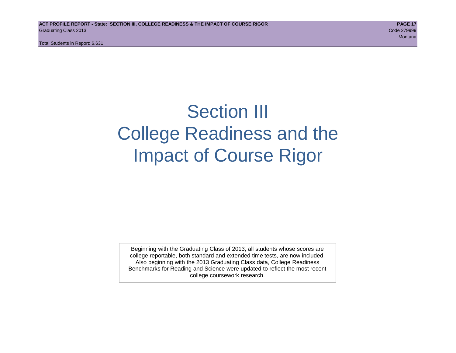# Section III College Readiness and the Impact of Course Rigor

Beginning with the Graduating Class of 2013, all students whose scores are college reportable, both standard and extended time tests, are now included. Also beginning with the 2013 Graduating Class data, College Readiness Benchmarks for Reading and Science were updated to reflect the most recent college coursework research.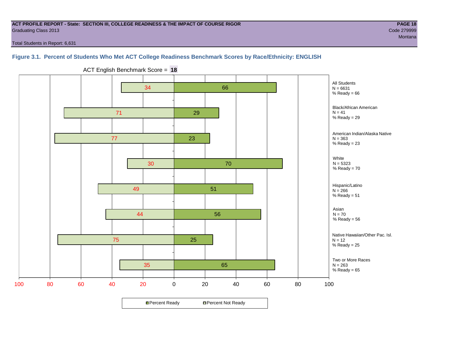#### **ACT PROFILE REPORT - State: SECTION III, COLLEGE READINESS & THE IMPACT OF COURSE RIGOR PAGE 18** Graduating Class 2013 Code 279999

Total Students in Report: 6,631

# **Figure 3.1. Percent of Students Who Met ACT College Readiness Benchmark Scores by Race/Ethnicity: ENGLISH**



ACT English Benchmark Score = **18**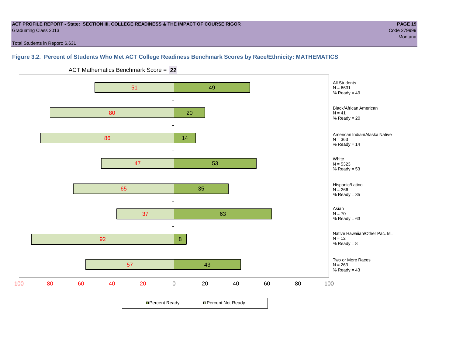#### **ACT PROFILE REPORT - State: SECTION III, COLLEGE READINESS & THE IMPACT OF COURSE RIGOR PAGE 19** Graduating Class 2013 Code 279999

Total Students in Report: 6,631

# **Figure 3.2. Percent of Students Who Met ACT College Readiness Benchmark Scores by Race/Ethnicity: MATHEMATICS**

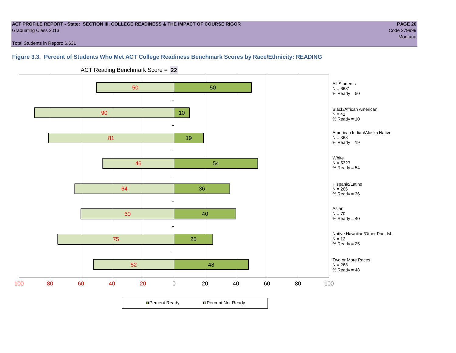#### **ACT PROFILE REPORT - State: SECTION III, COLLEGE READINESS & THE IMPACT OF COURSE RIGOR PAGE 20** Graduating Class 2013 Code 279999

Total Students in Report: 6,631

### **Figure 3.3. Percent of Students Who Met ACT College Readiness Benchmark Scores by Race/Ethnicity: READING**



ACT Reading Benchmark Score = **22**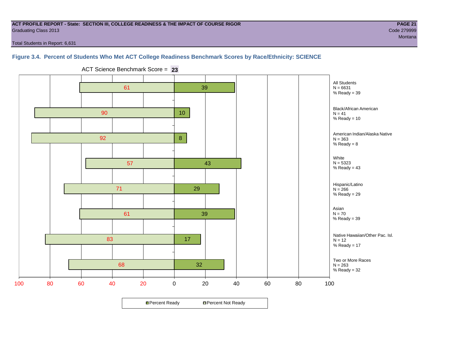#### **ACT PROFILE REPORT - State: SECTION III, COLLEGE READINESS & THE IMPACT OF COURSE RIGOR PAGE 21** Graduating Class 2013 Code 279999

de la construcción de la construcción de la construcción de la construcción de la construcción de la construcc

Total Students in Report: 6,631

### **Figure 3.4. Percent of Students Who Met ACT College Readiness Benchmark Scores by Race/Ethnicity: SCIENCE**



ACT Science Benchmark Score = **23**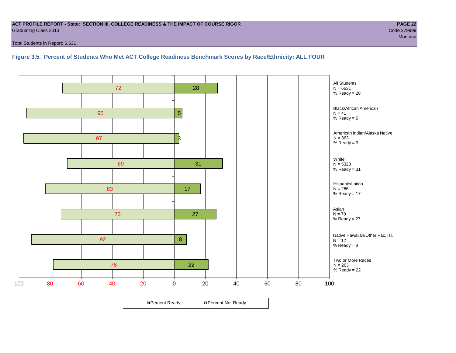#### **ACT PROFILE REPORT - State: SECTION III, COLLEGE READINESS & THE IMPACT OF COURSE RIGOR PAGE 22** Graduating Class 2013 Code 279999

Total Students in Report: 6,631

# **Figure 3.5. Percent of Students Who Met ACT College Readiness Benchmark Scores by Race/Ethnicity: ALL FOUR**

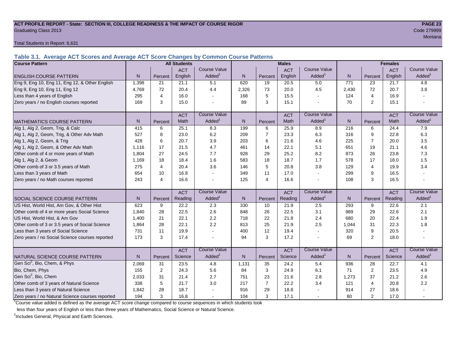#### **ACT PROFILE REPORT - State: SECTION III, COLLEGE READINESS & THE IMPACT OF COURSE RIGOR PAGE 23** Graduating Class 2013 Code 279999

Total Students in Report: 6,631

**Table 3.1. Average ACT Scores and Average ACT Score Changes by Common Course Patterns**

| <b>Course Pattern</b>                            |                |                | <b>All Students</b> |                     |       |                | <b>Males</b> |                     |              | <b>Females</b> |            |                        |
|--------------------------------------------------|----------------|----------------|---------------------|---------------------|-------|----------------|--------------|---------------------|--------------|----------------|------------|------------------------|
|                                                  |                |                | <b>ACT</b>          | <b>Course Value</b> |       |                | <b>ACT</b>   | <b>Course Value</b> |              |                | <b>ACT</b> | <b>Course Value</b>    |
| <b>ENGLISH COURSE PATTERN</b>                    | N              | Percent        | English             | Added <sup>1</sup>  | N     | Percent        | English      | Added               | $\mathsf{N}$ | Percent        | English    | A d d e d <sup>1</sup> |
| Eng 9, Eng 10, Eng 11, Eng 12, & Other English   | 1,398          | 21             | 21.1                | 5.1                 | 620   | 19             | 20.5         | 5.0                 | 771          | 23             | 21.7       | 4.8                    |
| Eng 9, Eng 10, Eng 11, Eng 12                    | 4,769          | 72             | 20.4                | 4.4                 | 2,326 | 73             | 20.0         | 4.5                 | 2,430        | 72             | 20.7       | 3.8                    |
| Less than 4 years of English                     | 295            | 4              | 16.0                |                     | 168   | 5              | 15.5         | $\sim$              | 124          | 4              | 16.9       |                        |
| Zero years / no English courses reported         | 169            | 3              | 15.0                |                     | 89    | 3              | 15.1         |                     | 70           | $\overline{2}$ | 15.1       |                        |
|                                                  |                |                | <b>ACT</b>          | <b>Course Value</b> |       |                | <b>ACT</b>   | <b>Course Value</b> |              |                | <b>ACT</b> | <b>Course Value</b>    |
| <b>MATHEMATICS COURSE PATTERN</b>                | N <sub>1</sub> | Percent        | Math                | Added               | N.    | Percent        | Math         | Added <sup>1</sup>  | N            | Percent        | Math       | Added <sup>1</sup>     |
| Alg 1, Alg 2, Geom, Trig, & Calc                 | 415            | 6              | 25.1                | 8.3                 | 199   | 6              | 25.9         | 8.9                 | 216          | 6              | 24.4       | 7.9                    |
| Alg 1, Alg 2, Geom, Trig, & Other Adv Math       | 527            | 8              | 23.0                | 6.2                 | 209   | $\overline{7}$ | 23.3         | 6.3                 | 316          | 9              | 22.8       | 6.3                    |
| Alg 1, Alg 2, Geom, & Trig                       | 428            | 6              | 20.7                | 3.9                 | 203   | 6              | 21.6         | 4.6                 | 225          | $\overline{7}$ | 20.0       | 3.5                    |
| Alg 1, Alg 2, Geom, & Other Adv Math             | 1,116          | 17             | 21.5                | 4.7                 | 461   | 14             | 22.1         | 5.1                 | 651          | 19             | 21.1       | 4.6                    |
| Other comb of 4 or more years of Math            | 1,804          | 27             | 24.5                | 7.7                 | 928   | 29             | 25.2         | 8.2                 | 873          | 26             | 23.8       | 7.3                    |
| Alg 1, Alg 2, & Geom                             | 1.169          | 18             | 18.4                | 1.6                 | 583   | 18             | 18.7         | 1.7                 | 578          | 17             | 18.0       | 1.5                    |
| Other comb of 3 or 3.5 years of Math             | 275            | 4              | 20.4                | 3.6                 | 146   | 5              | 20.8         | 3.8                 | 129          | 4              | 19.9       | 3.4                    |
| Less than 3 years of Math                        | 654            | 10             | 16.8                |                     | 349   | 11             | 17.0         | $\sim$              | 299          | 9              | 16.5       |                        |
| Zero years / no Math courses reported            | 243            | $\overline{4}$ | 16.6                |                     | 125   | $\overline{4}$ | 16.6         |                     | 108          | 3              | 16.5       |                        |
|                                                  |                |                | <b>ACT</b>          | <b>Course Value</b> |       |                | <b>ACT</b>   | <b>Course Value</b> |              |                | <b>ACT</b> | <b>Course Value</b>    |
| <b>SOCIAL SCIENCE COURSE PATTERN</b>             | N.             | Percent        | Reading             | Added <sup>1</sup>  | N     | Percent        | Reading      | Added               | N            | Percent        | Reading    | Added <sup>1</sup>     |
| US Hist, World Hist, Am Gov, & Other Hist        | 623            | 9              | 22.2                | 2.3                 | 330   | 10             | 21.9         | 2.5                 | 293          | 9              | 22.6       | 2.1                    |
| Other comb of 4 or more years Social Science     | 1,840          | 28             | 22.5                | 2.6                 | 848   | 26             | 22.5         | 3.1                 | 989          | 29             | 22.6       | 2.1                    |
| US Hist, World Hist, & Am Gov                    | 1,400          | 21             | 22.1                | 2.2                 | 718   | 22             | 21.8         | 2.4                 | 680          | 20             | 22.4       | 1.9                    |
| Other comb of 3 or 3.5 years of Social Science   | 1,864          | 28             | 22.1                | 2.2                 | 813   | 25             | 21.9         | 2.5                 | 1,044        | 31             | 22.3       | 1.8                    |
| Less than 3 years of Social Science              | 731            | 11             | 19.9                |                     | 400   | 12             | 19.4         | $\sim$              | 320          | 9              | 20.5       |                        |
| Zero years / no Social Science courses reported  | 173            | 3              | 17.4                |                     | 94    | 3              | 17.2         |                     | 69           | $\overline{2}$ | 18.0       | $\blacksquare$         |
|                                                  |                |                | <b>ACT</b>          | <b>Course Value</b> |       |                | <b>ACT</b>   | <b>Course Value</b> |              |                | <b>ACT</b> | <b>Course Value</b>    |
| NATURAL SCIENCE COURSE PATTERN                   | N <sub>1</sub> | Percent        | Science             | Added               | N     | Percent        | Science      | Added               | N            | Percent        | Science    | A d d e d <sup>1</sup> |
| Gen Sci <sup>2</sup> , Bio, Chem, & Phys         | 2,069          | 31             | 23.5                | 4.8                 | 1,131 | 35             | 24.2         | 5.4                 | 936          | 28             | 22.7       | 4.1                    |
| Bio, Chem, Phys                                  | 155            | 2              | 24.3                | 5.6                 | 84    | 3              | 24.9         | 6.1                 | 71           | 2              | 23.5       | 4.9                    |
| Gen Sci <sup>2</sup> , Bio, Chem                 | 2,033          | 31             | 21.4                | 2.7                 | 751   | 23             | 21.6         | 2.8                 | 1,273        | 37             | 21.2       | 2.6                    |
| Other comb of 3 years of Natural Science         | 338            | 5              | 21.7                | 3.0                 | 217   | $\overline{7}$ | 22.2         | 3.4                 | 121          | 4              | 20.8       | 2.2                    |
| Less than 3 years of Natural Science             | 1,842          | 28             | 18.7                |                     | 916   | 29             | 18.8         |                     | 914          | 27             | 18.6       |                        |
| Zero years / no Natural Science courses reported | 194            | 3              | 16.8                |                     | 104   | 3              | 17.1         |                     | 80           | $\overline{2}$ | 17.0       |                        |

<sup>1</sup>Course value added is defined as the average ACT score change compared to course sequences in which students took

less than four years of English or less than three years of Mathematics, Social Science or Natural Science.

<sup>2</sup>Includes General, Physical and Earth Sciences.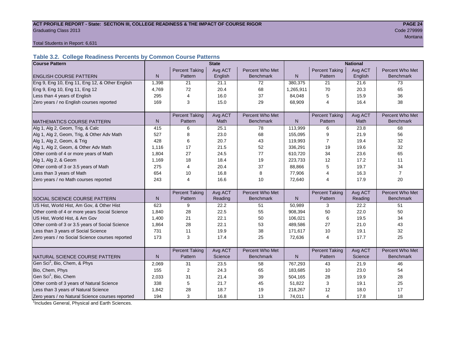#### ACT PROFILE REPORT - State: SECTION III, COLLEGE READINESS & THE IMPACT OF COURSE RIGOR **PAGE 24** Graduating Class 2013 Code 279999

man and the contract of the contract of the contract of the contract of the contract of the contract of the co

Total Students in Report: 6,631

# **Table 3.2. College Readiness Percents by Common Course Patterns**

| <b>Course Pattern</b>                            |              |                       | <b>State</b> |                  | <b>National</b> |                       |         |                  |  |
|--------------------------------------------------|--------------|-----------------------|--------------|------------------|-----------------|-----------------------|---------|------------------|--|
|                                                  |              | <b>Percent Taking</b> | Avg ACT      | Percent Who Met  |                 | <b>Percent Taking</b> | Avg ACT | Percent Who Met  |  |
| <b>ENGLISH COURSE PATTERN</b>                    | $\mathsf{N}$ | Pattern               | English      | <b>Benchmark</b> | $\mathsf{N}$    | Pattern               | English | <b>Benchmark</b> |  |
| Eng 9, Eng 10, Eng 11, Eng 12, & Other English   | 1,398        | 21                    | 21.1         | 72               | 380,375         | 21                    | 21.6    | 73               |  |
| Eng 9, Eng 10, Eng 11, Eng 12                    | 4,769        | 72                    | 20.4         | 68               | 1,265,911       | 70                    | 20.3    | 65               |  |
| Less than 4 years of English                     | 295          | $\overline{4}$        | 16.0         | 37               | 84,048          | 5                     | 15.9    | 36               |  |
| Zero years / no English courses reported         | 169          | 3                     | 15.0         | 29               | 68,909          | 4                     | 16.4    | 38               |  |
|                                                  |              |                       |              |                  |                 |                       |         |                  |  |
|                                                  |              | <b>Percent Taking</b> | Avg ACT      | Percent Who Met  |                 | <b>Percent Taking</b> | Avg ACT | Percent Who Met  |  |
| <b>MATHEMATICS COURSE PATTERN</b>                | N            | Pattern               | <b>Math</b>  | <b>Benchmark</b> | $\mathsf{N}$    | Pattern               | Math    | <b>Benchmark</b> |  |
| Alg 1, Alg 2, Geom, Trig, & Calc                 | 415          | 6                     | 25.1         | 78               | 113,999         | 6                     | 23.8    | 68               |  |
| Alg 1, Alg 2, Geom, Trig, & Other Adv Math       | 527          | 8                     | 23.0         | 68               | 155,095         | 9                     | 21.9    | 56               |  |
| Alg 1, Alg 2, Geom, & Trig                       | 428          | 6                     | 20.7         | 43               | 119,993         | $\overline{7}$        | 19.4    | 32               |  |
| Alg 1, Alg 2, Geom, & Other Adv Math             | 1.116        | 17                    | 21.5         | 52               | 336,291         | 19                    | 19.6    | 32               |  |
| Other comb of 4 or more years of Math            | 1,804        | 27                    | 24.5         | 77               | 610,720         | 34                    | 23.6    | 65               |  |
| Alg 1, Alg 2, & Geom                             | 1,169        | 18                    | 18.4         | 19               | 223,733         | 12                    | 17.2    | 11               |  |
| Other comb of 3 or 3.5 years of Math             | 275          | 4                     | 20.4         | 37               | 88,866          | 5                     | 19.7    | 34               |  |
| Less than 3 years of Math                        | 654          | 10                    | 16.8         | 8                | 77,906          | 4                     | 16.3    | $\overline{7}$   |  |
| Zero years / no Math courses reported            | 243          | 4                     | 16.6         | 10               | 72,640          | 4                     | 17.9    | 20               |  |
|                                                  |              |                       |              |                  |                 |                       |         |                  |  |
|                                                  |              | <b>Percent Taking</b> | Avg ACT      | Percent Who Met  |                 | <b>Percent Taking</b> | Avg ACT | Percent Who Met  |  |
| <b>SOCIAL SCIENCE COURSE PATTERN</b>             | N            | Pattern               | Reading      | <b>Benchmark</b> | N               | Pattern               | Reading | <b>Benchmark</b> |  |
| US Hist, World Hist, Am Gov, & Other Hist        | 623          | 9                     | 22.2         | 51               | 50,989          | 3                     | 22.2    | 51               |  |
| Other comb of 4 or more years Social Science     | 1,840        | 28                    | 22.5         | 55               | 908,394         | 50                    | 22.0    | 50               |  |
| US Hist, World Hist, & Am Gov                    | 1,400        | 21                    | 22.1         | 50               | 106,021         | 6                     | 19.5    | 34               |  |
| Other comb of 3 or 3.5 years of Social Science   | 1,864        | 28                    | 22.1         | 53               | 489,586         | 27                    | 21.0    | 43               |  |
| Less than 3 years of Social Science              | 731          | 11                    | 19.9         | 38               | 171,617         | 10                    | 19.1    | 32               |  |
| Zero years / no Social Science courses reported  | 173          | 3                     | 17.4         | 25               | 72,636          | $\overline{4}$        | 17.7    | 25               |  |
|                                                  |              |                       |              |                  |                 |                       |         |                  |  |
|                                                  |              | <b>Percent Taking</b> | Avg ACT      | Percent Who Met  |                 | <b>Percent Taking</b> | Avg ACT | Percent Who Met  |  |
| NATURAL SCIENCE COURSE PATTERN                   | N            | Pattern               | Science      | <b>Benchmark</b> | N               | Pattern               | Science | <b>Benchmark</b> |  |
| Gen Sci <sup>1</sup> , Bio, Chem, & Phys         | 2,069        | 31                    | 23.5         | 58               | 767,293         | 43                    | 21.9    | 46               |  |
| Bio, Chem, Phys                                  | 155          | $\overline{c}$        | 24.3         | 65               | 183,685         | 10                    | 23.0    | 54               |  |
| Gen Sci <sup>1</sup> , Bio, Chem                 | 2,033        | 31                    | 21.4         | 39               | 504,165         | 28                    | 19.9    | 28               |  |
| Other comb of 3 years of Natural Science         | 338          | 5                     | 21.7         | 45               | 51,822          | 3                     | 19.1    | 25               |  |
| Less than 3 years of Natural Science             | 1,842        | 28                    | 18.7         | 19               | 218,267         | 12                    | 18.0    | 17               |  |
| Zero years / no Natural Science courses reported | 194          | 3                     | 16.8         | 13               | 74,011          | 4                     | 17.8    | 18               |  |

<sup>1</sup>Includes General, Physical and Earth Sciences.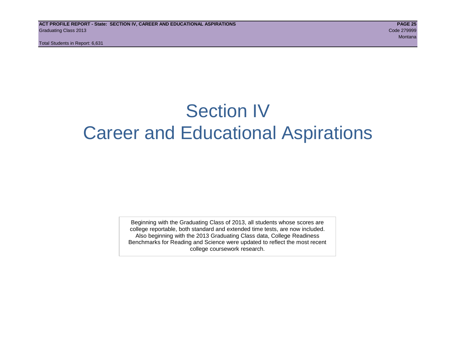# Section IV Career and Educational Aspirations

Beginning with the Graduating Class of 2013, all students whose scores are college reportable, both standard and extended time tests, are now included. Also beginning with the 2013 Graduating Class data, College Readiness Benchmarks for Reading and Science were updated to reflect the most recent college coursework research.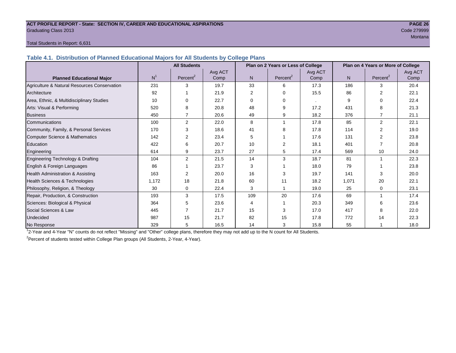#### **ACT PROFILE REPORT - State: SECTION IV, CAREER AND EDUCATIONAL ASPIRATIONS PAGE 26** Graduating Class 2013 Code 279999

# de la construcción de la construcción de la construcción de la construcción de la construcción de la construcc

#### Total Students in Report: 6,631

**Table 4.1. Distribution of Planned Educational Majors for All Students by College Plans**

|                                              | <b>All Students</b><br>Plan on 2 Years or Less of College |                      |         |                |                      |         |                | Plan on 4 Years or More of College |         |
|----------------------------------------------|-----------------------------------------------------------|----------------------|---------|----------------|----------------------|---------|----------------|------------------------------------|---------|
|                                              |                                                           |                      | Avg ACT |                |                      | Avg ACT |                |                                    | Avg ACT |
| <b>Planned Educational Major</b>             | N <sup>1</sup>                                            | Percent <sup>2</sup> | Comp    | N <sub>1</sub> | Percent <sup>2</sup> | Comp    | N <sub>1</sub> | Percent <sup>2</sup>               | Comp    |
| Agriculture & Natural Resources Conservation | 231                                                       | 3                    | 19.7    | 33             | 6                    | 17.3    | 186            | 3                                  | 20.4    |
| Architecture                                 | 92                                                        |                      | 21.9    | 2              | $\Omega$             | 15.5    | 86             | 2                                  | 22.1    |
| Area, Ethnic, & Multidisciplinary Studies    | 10                                                        | $\Omega$             | 22.7    | $\Omega$       | $\Omega$             |         | 9              | 0                                  | 22.4    |
| Arts: Visual & Performing                    | 520                                                       | 8                    | 20.8    | 48             | 9                    | 17.2    | 431            | 8                                  | 21.3    |
| <b>Business</b>                              | 450                                                       |                      | 20.6    | 49             | 9                    | 18.2    | 376            |                                    | 21.1    |
| Communications                               | 100                                                       | $\overline{2}$       | 22.0    | 8              |                      | 17.8    | 85             | 2                                  | 22.1    |
| Community, Family, & Personal Services       | 170                                                       | 3                    | 18.6    | 41             | 8                    | 17.8    | 114            | $\overline{2}$                     | 19.0    |
| Computer Science & Mathematics               | 142                                                       | 2                    | 23.4    | 5              |                      | 17.6    | 131            |                                    | 23.8    |
| <b>Education</b>                             | 422                                                       | 6                    | 20.7    | 10             | 2                    | 18.1    | 401            |                                    | 20.8    |
| Engineering                                  | 614                                                       | 9                    | 23.7    | 27             | 5                    | 17.4    | 569            | 10                                 | 24.0    |
| Engineering Technology & Drafting            | 104                                                       | $\overline{2}$       | 21.5    | 14             | 3                    | 18.7    | 81             |                                    | 22.3    |
| English & Foreign Languages                  | 86                                                        |                      | 23.7    | 3              |                      | 18.0    | 79             |                                    | 23.8    |
| <b>Health Administration &amp; Assisting</b> | 163                                                       | $\overline{2}$       | 20.0    | 16             | 3                    | 19.7    | 141            | 3                                  | 20.0    |
| Health Sciences & Technologies               | 1,172                                                     | 18                   | 21.8    | 60             | 11                   | 18.2    | 1,071          | 20                                 | 22.1    |
| Philosophy, Religion, & Theology             | 30                                                        | 0                    | 22.4    | 3              |                      | 19.0    | 25             | 0                                  | 23.1    |
| Repair, Production, & Construction           | 193                                                       | 3                    | 17.5    | 109            | 20                   | 17.6    | 69             |                                    | 17.4    |
| Sciences: Biological & Physical              | 364                                                       | 5                    | 23.6    | 4              |                      | 20.3    | 349            | 6                                  | 23.6    |
| Social Sciences & Law                        | 445                                                       |                      | 21.7    | 15             | 3                    | 17.0    | 417            | 8                                  | 22.0    |
| Undecided                                    | 987                                                       | 15                   | 21.7    | 82             | 15                   | 17.8    | 772            | 14                                 | 22.3    |
| No Response                                  | 329                                                       | 5                    | 16.5    | 14             | 3                    | 15.8    | 55             |                                    | 18.0    |

1 2-Year and 4-Year "N" counts do not reflect "Missing" and "Other" college plans, therefore they may not add up to the N count for All Students.

<sup>2</sup> Percent of students tested within College Plan groups (All Students, 2-Year, 4-Year).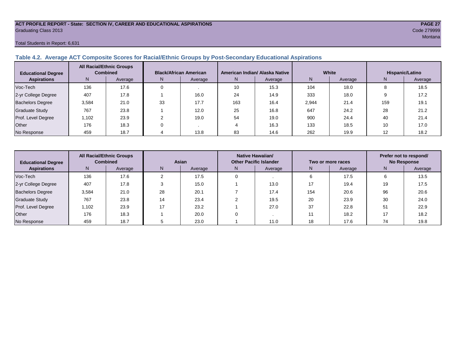#### **ACT PROFILE REPORT - State: SECTION IV, CAREER AND EDUCATIONAL ASPIRATIONS PAGE 27** Graduating Class 2013 Code 279999

#### Total Students in Report: 6,631

### **Table 4.2. Average ACT Composite Scores for Racial/Ethnic Groups by Post-Secondary Educational Aspirations**

| <b>Educational Degree</b> | <b>All Racial/Ethnic Groups</b><br><b>Combined</b> |         | <b>Black/African American</b> |         |     | American Indian/ Alaska Native |       | White   | Hispanic/Latino   |         |  |
|---------------------------|----------------------------------------------------|---------|-------------------------------|---------|-----|--------------------------------|-------|---------|-------------------|---------|--|
| <b>Aspirations</b>        | N.                                                 | Average | N                             | Average | N   | Average                        | Ν     | Average | N                 | Average |  |
| Voc-Tech                  | 136                                                | 17.6    |                               |         | 10  | 15.3                           | 104   | 18.0    | $\Omega$          | 18.5    |  |
| 2-yr College Degree       | 407                                                | 17.8    |                               | 16.0    | 24  | 14.9                           | 333   | 18.0    |                   | 17.2    |  |
| <b>Bachelors Degree</b>   | 3,584                                              | 21.0    | 33                            | 17.7    | 163 | 16.4                           | 2,944 | 21.4    | 159               | 19.1    |  |
| <b>Graduate Study</b>     | 767                                                | 23.8    |                               | 12.0    | 25  | 16.8                           | 647   | 24.2    | 28                | 21.2    |  |
| Prof. Level Degree        | 1,102                                              | 23.9    |                               | 19.0    | 54  | 19.0                           | 900   | 24.4    | 40                | 21.4    |  |
| Other                     | 176                                                | 18.3    |                               |         |     | 16.3                           | 133   | 18.5    | 10                | 17.0    |  |
| No Response               | 459                                                | 18.7    |                               | 13.8    | 83  | 14.6                           | 262   | 19.9    | $12 \overline{ }$ | 18.2    |  |

| <b>Educational Degree</b> | <b>All Racial/Ethnic Groups</b><br><b>Combined</b> |         | Asian |         |    | Native Hawaiian/<br><b>Other Pacific Islander</b> |     | Two or more races | Prefer not to respond/<br><b>No Response</b> |         |  |
|---------------------------|----------------------------------------------------|---------|-------|---------|----|---------------------------------------------------|-----|-------------------|----------------------------------------------|---------|--|
| <b>Aspirations</b>        | N.                                                 | Average | N.    | Average | N. | Average                                           | N   | Average           | N                                            | Average |  |
| Voc-Tech                  | 136                                                | 17.6    |       | 17.5    |    |                                                   |     | 17.5              | b                                            | 13.5    |  |
| 2-yr College Degree       | 407                                                | 17.8    |       | 15.0    |    | 13.0                                              | 17  | 19.4              | 19                                           | 17.5    |  |
| <b>Bachelors Degree</b>   | 3,584                                              | 21.0    | 28    | 20.1    |    | 17.4                                              | 154 | 20.6              | 96                                           | 20.6    |  |
| <b>Graduate Study</b>     | 767                                                | 23.8    | 14    | 23.4    |    | 19.5                                              | 20  | 23.9              | 30                                           | 24.0    |  |
| Prof. Level Degree        | 1,102                                              | 23.9    | 17    | 23.2    |    | 27.0                                              | 37  | 22.8              | 51                                           | 22.9    |  |
| Other                     | 176                                                | 18.3    |       | 20.0    |    |                                                   |     | 18.2              | 17                                           | 18.2    |  |
| No Response               | 459                                                | 18.7    |       | 23.0    |    | 11.0                                              | 18  | 17.6              | 74                                           | 19.8    |  |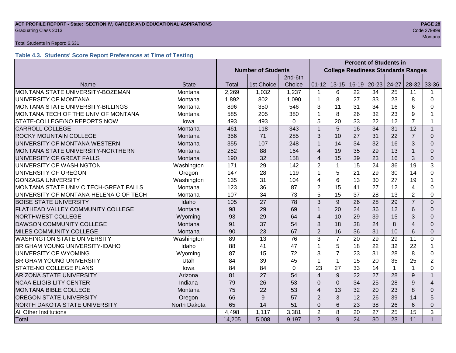#### **ACT PROFILE REPORT - State: SECTION IV, CAREER AND EDUCATIONAL ASPIRATIONS PAGE 28** Code 279999 Craduating Class 2013

#### Total Students in Report: 6,631

# **Table 4.3. Students' Score Report Preferences at Time of Testing**

|                                          |              |                           |                 |             | <b>Percent of Students in</b> |                                           |                 |           |                 |                 |                |
|------------------------------------------|--------------|---------------------------|-----------------|-------------|-------------------------------|-------------------------------------------|-----------------|-----------|-----------------|-----------------|----------------|
|                                          |              | <b>Number of Students</b> |                 |             |                               | <b>College Readiness Standards Ranges</b> |                 |           |                 |                 |                |
|                                          |              |                           |                 | 2nd-6th     |                               |                                           |                 |           |                 |                 |                |
| Name                                     | <b>State</b> | Total                     | 1st Choice      | Choice      | $01 - 12$                     | $13 - 15$                                 | $16-19$         | $20 - 23$ | 24-27           | $28 - 32$       | 33-36          |
| MONTANA STATE UNIVERSITY-BOZEMAN         | Montana      | 2,269                     | 1,032           | 1,237       | 1                             | 6                                         | 22              | 34        | 25              | 11              |                |
| UNIVERSITY OF MONTANA                    | Montana      | 1,892                     | 802             | 1,090       | 1                             | 8                                         | 27              | 33        | 23              | 8               | 0              |
| <b>MONTANA STATE UNIVERSITY-BILLINGS</b> | Montana      | 896                       | 350             | 546         | 3                             | 11                                        | 31              | 34        | 16              | 6               | 0              |
| MONTANA TECH OF THE UNIV OF MONTANA      | Montana      | 585                       | 205             | 380         | 1                             | 8                                         | 26              | 32        | 23              | 9               | 1              |
| STATE-COLLEGE/NO REPORTS NOW             | lowa         | 493                       | 493             | $\mathbf 0$ | 5                             | 20                                        | 33              | 22        | 12              | $\overline{7}$  | 1              |
| <b>CARROLL COLLEGE</b>                   | Montana      | 461                       | 118             | 343         | 1                             | 5                                         | 16              | 34        | 31              | 12              | $\mathbf{1}$   |
| <b>ROCKY MOUNTAIN COLLEGE</b>            | Montana      | 356                       | 71              | 285         | 3                             | 10                                        | 27              | 31        | 22              | $\overline{7}$  | $\Omega$       |
| UNIVERSITY OF MONTANA WESTERN            | Montana      | 355                       | 107             | 248         | 1                             | 14                                        | 34              | 32        | 16              | 3               | $\Omega$       |
| MONTANA STATE UNIVERSITY-NORTHERN        | Montana      | 252                       | 88              | 164         | $\overline{\mathcal{A}}$      | 19                                        | 35              | 29        | 13              |                 | $\Omega$       |
| UNIVERSITY OF GREAT FALLS                | Montana      | 190                       | 32              | 158         | $\overline{\mathcal{L}}$      | 15                                        | 39              | 23        | 16              | 3               | 0              |
| UNIVERSITY OF WASHINGTON                 | Washington   | 171                       | 29              | 142         | $\overline{2}$                | $\mathbf{1}$                              | 15              | 24        | $\overline{36}$ | $\overline{19}$ | 3              |
| UNIVERSITY OF OREGON                     | Oregon       | 147                       | 28              | 119         | 1                             | 5                                         | 21              | 29        | 30              | 14              | $\Omega$       |
| <b>GONZAGA UNIVERSITY</b>                | Washington   | 135                       | 31              | 104         | 4                             | 6                                         | 13              | 30        | 27              | 19              |                |
| MONTANA STATE UNIV C TECH-GREAT FALLS    | Montana      | 123                       | 36              | 87          | $\overline{2}$                | 15                                        | 41              | 27        | 12              | 4               | 0              |
| UNIVERSITY OF MONTANA-HELENA C OF TECH   | Montana      | 107                       | 34              | 73          | 5                             | 15                                        | 37              | 28        | 13              | $\overline{2}$  | 0              |
| <b>BOISE STATE UNIVERSITY</b>            | Idaho        | 105                       | 27              | 78          | 3                             | 9                                         | 26              | 28        | 29              | $\overline{7}$  | $\Omega$       |
| FLATHEAD VALLEY COMMUNITY COLLEGE        | Montana      | 98                        | 29              | 69          | 1                             | 20                                        | 24              | 36        | 12              | 6               | $\Omega$       |
| <b>NORTHWEST COLLEGE</b>                 | Wyoming      | 93                        | 29              | 64          | $\overline{4}$                | 10                                        | 29              | 39        | 15              | 3               | $\Omega$       |
| <b>DAWSON COMMUNITY COLLEGE</b>          | Montana      | 91                        | 37              | 54          | 8                             | 18                                        | 38              | 24        | 8               | $\overline{4}$  | $\Omega$       |
| MILES COMMUNITY COLLEGE                  | Montana      | 90                        | 23              | 67          | $\overline{2}$                | 16                                        | 36              | 31        | 10              | $6\phantom{1}6$ | $\Omega$       |
| <b>WASHINGTON STATE UNIVERSITY</b>       | Washington   | 89                        | $\overline{13}$ | 76          | 3                             | $\overline{7}$                            | 20              | 29        | 29              | 11              | 0              |
| <b>BRIGHAM YOUNG UNIVERSITY-IDAHO</b>    | Idaho        | 88                        | 41              | 47          |                               | 5                                         | 18              | 22        | 32              | 22              | 1              |
| UNIVERSITY OF WYOMING                    | Wyoming      | 87                        | 15              | 72          | 3                             | $\overline{7}$                            | 23              | 31        | 28              | 8               | 0              |
| <b>BRIGHAM YOUNG UNIVERSITY</b>          | Utah         | 84                        | 39              | 45          | 1                             | $\mathbf{1}$                              | 15              | 20        | 35              | 25              | $\overline{2}$ |
| STATE-NO COLLEGE PLANS                   | lowa         | 84                        | 84              | 0           | 23                            | 27                                        | 33              | 14        | $\mathbf 1$     |                 | 0              |
| <b>ARIZONA STATE UNIVERSITY</b>          | Arizona      | 81                        | 27              | 54          | $\overline{\mathbf{4}}$       | 9                                         | 22              | 27        | 28              | 9               | $\mathbf{1}$   |
| <b>NCAA ELIGIBILITY CENTER</b>           | Indiana      | 79                        | 26              | 53          | 0                             | $\mathbf{0}$                              | 34              | 25        | 28              | 9               | $\overline{4}$ |
| <b>MONTANA BIBLE COLLEGE</b>             | Montana      | 75                        | 22              | 53          | $\overline{4}$                | 13                                        | 32              | 20        | 23              | 8               | $\Omega$       |
| <b>OREGON STATE UNIVERSITY</b>           | Oregon       | 66                        | 9               | 57          | $\overline{2}$                | 3                                         | 12              | 26        | 39              | 14              | 5              |
| NORTH DAKOTA STATE UNIVERSITY            | North Dakota | 65                        | 14              | 51          | $\mathbf 0$                   | $6\phantom{1}6$                           | 23              | 38        | 26              | 6               | 0              |
| All Other Institutions                   |              | 4,498                     | 1,117           | 3,381       | $\overline{2}$                | 8                                         | 20              | 27        | 25              | 15              | 3              |
| Total                                    |              | 14,205                    | 5,008           | 9,197       | $\overline{2}$                | 9                                         | $\overline{24}$ | 30        | $\overline{23}$ | 11              | $\mathbf{1}$   |

de la construcción de la construcción de la construcción de la construcción de la construcción de la construcc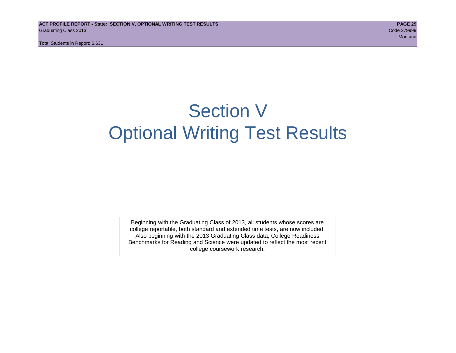# Section V Optional Writing Test Results

Beginning with the Graduating Class of 2013, all students whose scores are college reportable, both standard and extended time tests, are now included. Also beginning with the 2013 Graduating Class data, College Readiness Benchmarks for Reading and Science were updated to reflect the most recent college coursework research.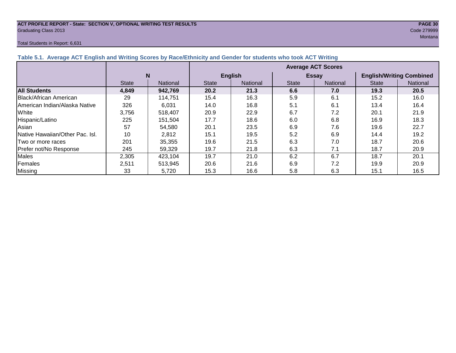# **ACT PROFILE REPORT - State: SECTION V, OPTIONAL WRITING TEST RESULTS PAGE 30** Graduating Class 2013 Code 279999

#### Total Students in Report: 6,631

|                                 |              |                 | <b>Average ACT Scores</b> |                 |              |                 |                                 |          |  |  |
|---------------------------------|--------------|-----------------|---------------------------|-----------------|--------------|-----------------|---------------------------------|----------|--|--|
|                                 | N            |                 | <b>English</b>            |                 |              | <b>Essay</b>    | <b>English/Writing Combined</b> |          |  |  |
|                                 | <b>State</b> | <b>National</b> | <b>State</b>              | <b>National</b> | <b>State</b> | <b>National</b> | <b>State</b>                    | National |  |  |
| <b>All Students</b>             | 4.849        | 942,769         | 20.2                      | 21.3            | 6.6          | 7.0             | 19.3                            | 20.5     |  |  |
| <b>Black/African American</b>   | 29           | 114.751         | 15.4                      | 16.3            | 5.9          | 6.1             | 15.2                            | 16.0     |  |  |
| American Indian/Alaska Native   | 326          | 6.031           | 14.0                      | 16.8            | 5.1          | 6.1             | 13.4                            | 16.4     |  |  |
| White                           | 3,756        | 518.407         | 20.9                      | 22.9            | 6.7          | 7.2             | 20.1                            | 21.9     |  |  |
| Hispanic/Latino                 | 225          | 151.504         | 17.7                      | 18.6            | 6.0          | 6.8             | 16.9                            | 18.3     |  |  |
| Asian                           | 57           | 54,580          | 20.1                      | 23.5            | 6.9          | 7.6             | 19.6                            | 22.7     |  |  |
| Native Hawaiian/Other Pac. Isl. | 10           | 2.812           | 15.1                      | 19.5            | 5.2          | 6.9             | 14.4                            | 19.2     |  |  |

|Two or more races | 201 | 35,355 | 19.6 | 21.5 | 6.3 | 7.0 | 18.7 | 20.6 Prefer not/No Response | 245 | 59,329 | 19.7 | 21.8 | 6.3 | 7.1 | 18.7 | 20.9 Males | 2,305 | 423,104 | 19.7 | 21.0 | 6.2 | 6.7 | 18.7 | 20.1 Females 2,511 513,945 20.6 21.6 6.9 7.2 19.9 20.9 Missing | 33 | 5,720 | 15.3 | 16.6 | 5.8 | 6.3 | 15.1 | 16.5